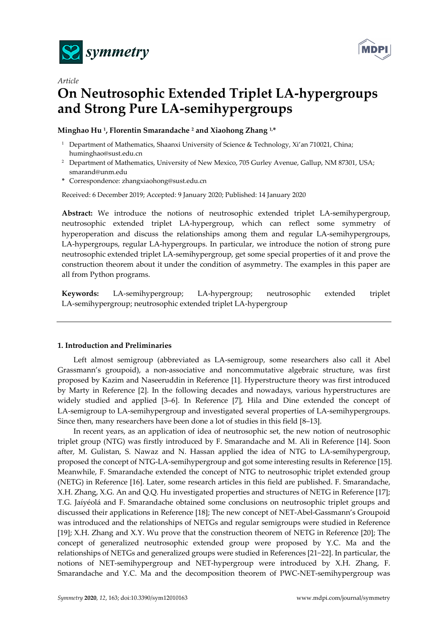



# *Article*  **On Neutrosophic Extended Triplet LA-hypergroups and Strong Pure LA-semihypergroups**

#### **Minghao Hu 1, Florentin Smarandache 2 and Xiaohong Zhang 1,\***

- <sup>1</sup> Department of Mathematics, Shaanxi University of Science & Technology, Xi'an 710021, China; huminghao@sust.edu.cn
- <sup>2</sup> Department of Mathematics, University of New Mexico, 705 Gurley Avenue, Gallup, NM 87301, USA; smarand@unm.edu
- **\*** Correspondence: zhangxiaohong@sust.edu.cn

Received: 6 December 2019; Accepted: 9 January 2020; Published: 14 January 2020

**Abstract:** We introduce the notions of neutrosophic extended triplet LA-semihypergroup, neutrosophic extended triplet LA-hypergroup, which can reflect some symmetry of hyperoperation and discuss the relationships among them and regular LA-semihypergroups, LA-hypergroups, regular LA-hypergroups. In particular, we introduce the notion of strong pure neutrosophic extended triplet LA-semihypergroup, get some special properties of it and prove the construction theorem about it under the condition of asymmetry. The examples in this paper are all from Python programs.

**Keywords:** LA-semihypergroup; LA-hypergroup; neutrosophic extended triplet LA-semihypergroup; neutrosophic extended triplet LA-hypergroup

#### **1. Introduction and Preliminaries**

Left almost semigroup (abbreviated as LA-semigroup, some researchers also call it Abel Grassmann's groupoid), a non-associative and noncommutative algebraic structure, was first proposed by Kazim and Naseeruddin in Reference [1]. Hyperstructure theory was first introduced by Marty in Reference [2]. In the following decades and nowadays, various hyperstructures are widely studied and applied [3–6]. In Reference [7], Hila and Dine extended the concept of LA-semigroup to LA-semihypergroup and investigated several properties of LA-semihypergroups. Since then, many researchers have been done a lot of studies in this field [8–13].

In recent years, as an application of idea of neutrosophic set, the new notion of neutrosophic triplet group (NTG) was firstly introduced by F. Smarandache and M. Ali in Reference [14]. Soon after, M. Gulistan, S. Nawaz and N. Hassan applied the idea of NTG to LA-semihypergroup, proposed the concept of NTG-LA-semihypergroup and got some interesting results in Reference [15]. Meanwhile, F. Smarandache extended the concept of NTG to neutrosophic triplet extended group (NETG) in Reference [16]. Later, some research articles in this field are published. F. Smarandache, X.H. Zhang, X.G. An and Q.Q. Hu investigated properties and structures of NETG in Reference [17]; T.G. Jaíyéolá and F. Smarandache obtained some conclusions on neutrosophic triplet groups and discussed their applications in Reference [18]; The new concept of NET-Abel-Gassmann's Groupoid was introduced and the relationships of NETGs and regular semigroups were studied in Reference [19]; X.H. Zhang and X.Y. Wu prove that the construction theorem of NETG in Reference [20]; The concept of generalized neutrosophic extended group were proposed by Y.C. Ma and the relationships of NETGs and generalized groups were studied in References [21−22]. In particular, the notions of NET-semihypergroup and NET-hypergroup were introduced by X.H. Zhang, F. Smarandache and Y.C. Ma and the decomposition theorem of PWC-NET-semihypergroup was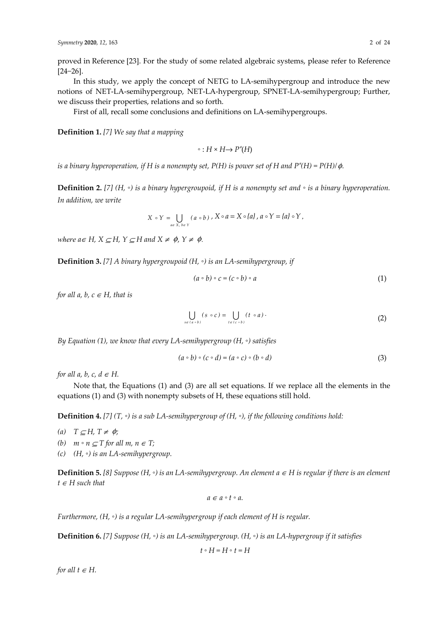proved in Reference [23]. For the study of some related algebraic systems, please refer to Reference [24−26].

In this study, we apply the concept of NETG to LA-semihypergroup and introduce the new notions of NET-LA-semihypergroup, NET-LA-hypergroup, SPNET-LA-semihypergroup; Further, we discuss their properties, relations and so forth.

First of all, recall some conclusions and definitions on LA-semihypergroups.

**Definition 1.** *[7] We say that a mapping* 

◦ :  $H \times H \rightarrow P^*(H)$ 

*is a binary hyperoperation, if H is a nonempty set, P(H) is power set of H and P<sup>\*</sup>(H) = P(H)/* $\phi$ *.* 

**Definition 2.** *[7] (H, ◦) is a binary hypergroupoid, if H is a nonempty set and ◦ is a binary hyperoperation. In addition, we write* 

$$
X \circ Y = \bigcup_{a \in X, b \in Y} (a \circ b) , X \circ a = X \circ \{a\}, a \circ Y = \{a\} \circ Y,
$$

*where*  $a \in H$ *,*  $X \subseteq H$ *,*  $Y \subseteq H$  and  $X \neq \emptyset$ *,*  $Y \neq \emptyset$ *.* 

**Definition 3.** *[7] A binary hypergroupoid (H, ◦) is an LA-semihypergroup, if* 

$$
(a \circ b) \circ c = (c \circ b) \circ a \tag{1}
$$

*for all a, b, c*  $\in$  *H, that is* 

$$
\bigcup_{s \in (a \circ b)} (s \circ c) = \bigcup_{t \in (c \circ b)} (t \circ a).
$$
 (2)

*By Equation (1), we know that every LA-semihypergroup (H, ◦) satisfies* 

$$
(a \circ b) \circ (c \circ d) = (a \circ c) \circ (b \circ d)
$$
\n(3)

*for all a, b, c, d*  $\in$  *H.* 

Note that, the Equations (1) and (3) are all set equations. If we replace all the elements in the equations (1) and (3) with nonempty subsets of H, these equations still hold.

**Definition 4.** *[7] (T, ◦) is a sub LA-semihypergroup of (H, ◦), if the following conditions hold:* 

- $(a)$  *T*  $\subseteq$  *H*, *T*  $\neq$   $\phi$ ;
- *(b)*  $m ∘ n ⊆ T$  *for all*  $m, n ∈ T$ ;
- *(c) (H, ◦) is an LA-semihypergroup.*

**Definition 5.** [8] Suppose (H,  $\circ$ ) is an LA-semihypergroup. An element  $a \in H$  is regular if there is an element  $t \in H$  *such that* 

$$
a \in a \circ t \circ a.
$$

*Furthermore, (H, ◦) is a regular LA-semihypergroup if each element of H is regular.* 

**Definition 6.** *[7] Suppose (H, ◦) is an LA-semihypergroup. (H, ◦) is an LA-hypergroup if it satisfies* 

$$
t\circ H=H\circ t=H
$$

*for all*  $t \in H$ *.*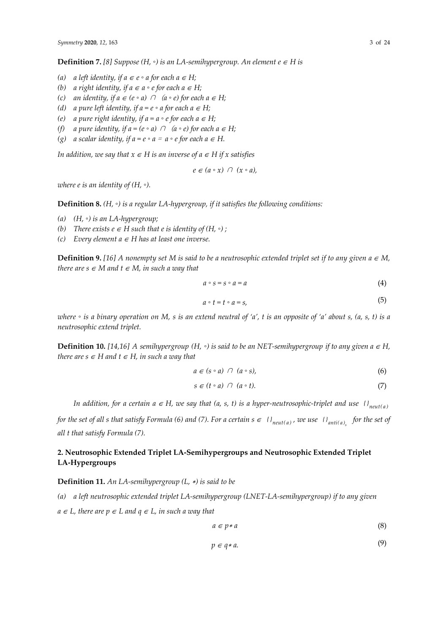**Definition 7.** [8] Suppose (H,  $\circ$ ) is an LA-semihypergroup. An element  $e \in H$  is

- *(a) a left identity, if*  $a ∈ e ∘ a$  *for each*  $a ∈ H$ *;*
- *(b) a right identity, if*  $a \in a \circ e$  *for each*  $a \in H$ *;*
- *(c) an identity, if*  $a \in (e \circ a) \cap (a \circ e)$  *for each*  $a \in H$ *;*
- *(d) a pure left identity, if*  $a = e \circ a$  *for each*  $a \in H$ *;*
- *(e) a pure right identity, if*  $a = a \circ e$  *for each*  $a \in H$ *;*
- *(f) a pure identity, if*  $a = (e \circ a)$  $\cap$  $(a \circ e)$  *for each*  $a \in H$ *;*
- *(g) a scalar identity, if a = e ◦ a* = *a ◦ e for each a* ∈ *H.*

*In addition, we say that*  $x \in H$  *is an inverse of a*  $\in$  *H if* x satisfies

$$
e \in (a \circ x) \cap (x \circ a),
$$

*where e is an identity of (H, ◦).* 

**Definition 8.** *(H, ◦) is a regular LA-hypergroup, if it satisfies the following conditions:* 

- *(a) (H, ◦) is an LA-hypergroup;*
- *(b) There exists e*  $\in$  *H such that e is identity of (H,*  $\circ$ *) ;*
- *(c) Every element*  $a \in H$  *has at least one inverse.*

**Definition 9.** [16] A nonempty set M is said to be a neutrosophic extended triplet set if to any given  $a \in M$ , *there are s*  $\in$  *M* and  $t \in M$ , in such a way that

$$
a \circ s = s \circ a = a \tag{4}
$$

$$
a \circ t = t \circ a = s,\tag{5}
$$

*where ◦ is a binary operation on M, s is an extend neutral of 'a', t is an opposite of 'a' about s, (a, s, t) is a neutrosophic extend triplet.* 

**Definition 10.** [14,16] A semihypergroup (H,  $\circ$ ) is said to be an NET-semihypergroup if to any given a  $\in$  H, *there are s*  $\in$  *H* and  $t \in$  *H*, *in such a way that* 

$$
a \in (s \circ a) \cap (a \circ s), \tag{6}
$$

$$
s \in (t \circ a) \cap (a \circ t). \tag{7}
$$

*In addition, for a certain a ∈ H, we say that (a, s, t) is a hyper-neutrosophic-triplet and use*  $\{I_{neut(a)}\}$ 

*for the set of all s that satisfy Formula (6) and (7). For a certain*  $s \in \{1\}$ *<sub>neut(a)</sub>, we use*  $\{1\}$ *<sub>anti(a)</sub> for the set of all t that satisfy Formula (7).* 

## **2. Neutrosophic Extended Triplet LA-Semihypergroups and Neutrosophic Extended Triplet LA-Hypergroups**

**Definition 11.** *An LA-semihypergroup (L,* ∗*) is said to be* 

*(a) a left neutrosophic extended triplet LA-semihypergroup (LNET-LA-semihypergroup) if to any given*   $a \in L$ , there are  $p \in L$  and  $q \in L$ , in such a way that

$$
a \in p * a \tag{8}
$$

$$
p \in q \ast a. \tag{9}
$$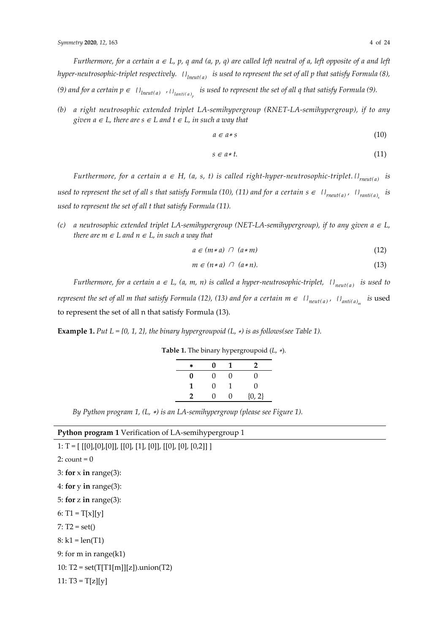*Furthermore, for a certain*  $a \in L$ *, p, q and (a, p, q) are called left neutral of a, left opposite of a and left hyper-neutrosophic-triplet respectively.*  $\{O_{incut(a)}\}$  *is used to represent the set of all p that satisfy Formula* (8), (9) and for a certain  $p \in \{0\}_{in{cut}(a) \to \{0\}_{lanti(a)_n}\}$  is used to represent the set of all q that satisfy Formula (9).

*(b) a right neutrosophic extended triplet LA-semihypergroup (RNET-LA-semihypergroup), if to any given a*  $\in$  *L*, there are  $s \in L$  and  $t \in L$ , in such a way that

$$
a \in a * s \tag{10}
$$

$$
s \in a*t. \tag{11}
$$

*Furthermore, for a certain a*  $\in$  *H, (a, s, t) is called right-hyper-neutrosophic-triplet.*  $\{P_{\text{meult}(a)}\}$  *is used to represent the set of all s that satisfy Formula (10), (11) and for a certain*  $s \in \{l\}_{reut(a)}$ *,*  $\{l\}_{ranti(a)}$  *is used to represent the set of all t that satisfy Formula (11).* 

*(c)* a neutrosophic extended triplet LA-semihypergroup (NET-LA-semihypergroup), if to any given  $a \in L$ , *there are m*  $\in$  *L and n*  $\in$  *L, in such a way that* 

$$
a \in (m * a) \cap (a * m) \tag{12}
$$

$$
m \in (n * a) \cap (a * n). \tag{13}
$$

*Furthermore, for a certain a*  $\in$  *L, (a, m, n) is called a hyper-neutrosophic-triplet,*  $\{P_{neut(a)}\}$  *is used to represent the set of all m that satisfy Formula (12), (13) and for a certain*  $m \in \{i\}$ *<sub>neut(a)</sub>,*  $\{i\}$ *<sub>anti(a)</sub> <i>is* used to represent the set of all n that satisfy Formula (13).

**Example 1.** *Put L* = {0, 1, 2}, the binary hypergroupoid  $(L, *)$  is as follows(see Table 1).

| 永 | 0 | 1 | 2            |
|---|---|---|--------------|
| 0 | 0 | O | 0            |
| 1 | 0 |   | $\mathbf{0}$ |
| 2 | 0 | 0 | ${0, 2}$     |

**Table 1.** The binary hypergroupoid (*L*, ∗).

*By Python program 1, (L,* ∗*) is an LA-semihypergroup (please see Figure 1).* 

| Python program 1 Verification of LA-semihypergroup 1 |  |  |  |  |  |  |
|------------------------------------------------------|--|--|--|--|--|--|
|------------------------------------------------------|--|--|--|--|--|--|

1: T =  $[ [0], [0], [0]]$ ,  $[0], [1], [0]]$ ,  $[0], [0], [0, 2]]$  $2:$  count =  $0$ 3: **for** x **in** range(3): 4: **for** y **in** range(3): 5: **for** z **in** range(3): 6:  $T1 = T[x][y]$  $7: T2 = set()$  $8: k1 = len(T1)$ 9: for m in range(k1) 10:  $T2 = set(T[T1[m]][z]).$ union(T2) 11:  $T3 = T[z][y]$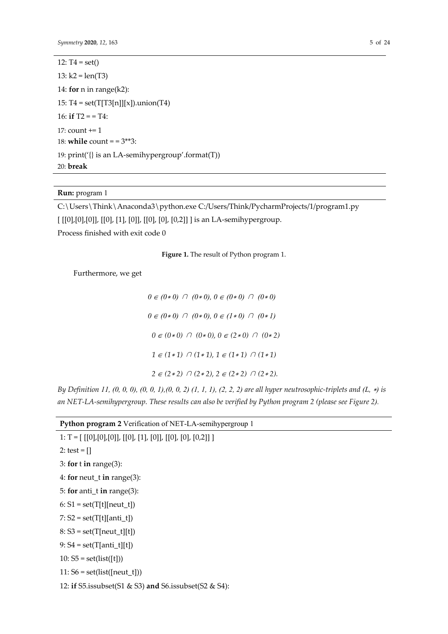12:  $T4 = set()$ 13:  $k2 = len(T3)$ 14: **for** n in range(k2): 15:  $T4 = set(T[T3[n]][x])$ .union(T4) 16: **if**  $T2 = T4$ : 17: count += 1 18: **while** count = = 3\*\*3: 19: print('{} is an LA-semihypergroup'.format(T)) 20: **break**

**Run:** program 1

C:\Users\Think\Anaconda3\python.exe C:/Users/Think/PycharmProjects/1/program1.py

[  $[[0],[0],[0]]$ ,  $[[0], [1]$ ,  $[0]]$ ,  $[[0], [0]$ ,  $[0,2]]$  ] is an LA-semihypergroup.

Process finished with exit code 0

**Figure 1.** The result of Python program 1.

Furthermore, we get

∈ *(0*∗ *0)* ∩ *(0*∗ *0), 0* ∈ *(0*∗ *0)* ∩ *(0*∗ *0)* ∈ *(0*∗ *0)* ∩ *(0*∗ *0), 0* ∈ *(1*∗ *0)* ∩ *(0*∗ *1)* ∈ *(0*∗ *0)* ∩ *(0*∗ *0), 0* ∈ *(2*∗ *0)* ∩ *(0*∗ *2)* ∈ *(1*∗ *1)* ∩ *(1*∗ *1), 1* ∈ *(1*∗ *1)* ∩ *(1*∗ *1)*  ∈ *(2*∗ *2)* ∩ *(2*∗ *2), 2* ∈ *(2*∗ *2)* ∩ *(2*∗ *2).* 

*By Definition 11, (0, 0, 0), (0, 0, 1), (0, 0, 2) (1, 1, 1), (2, 2, 2) are all hyper neutrosophic-triplets and (L, \*) is an NET-LA-semihypergroup. These results can also be verified by Python program 2 (please see Figure 2).*

|  | Python program 2 Verification of NET-LA-semihypergroup 1 |  |
|--|----------------------------------------------------------|--|
|  | <u>A EL ELEGILEOLLEGILEGILEOLLEGILEOLLEGILI</u>          |  |

| 1: 1 = [ [[U],[U],[U]], [[U], [1], [U]], [[U], [U], [U,Z]]] |
|-------------------------------------------------------------|
| 2: test = $[$ ]                                             |
| 3: for $t$ in range(3):                                     |
| 4: for neut_t in range $(3)$ :                              |
| 5: for anti_t in range(3):                                  |
| $6: S1 = set(T[t][neut_t])$                                 |
| $7: S2 = set(T[t][anti_t])$                                 |
| $8: S3 = set(T[neut_t][t])$                                 |
| 9: $S4 = set(T[anti_t][t])$                                 |
| 10: $S5 = set(list([t]))$                                   |
| $11:56 = set(list([neut_t]))$                               |
| 12: if S5.issubset(S1 & S3) and S6.issubset(S2 & S4):       |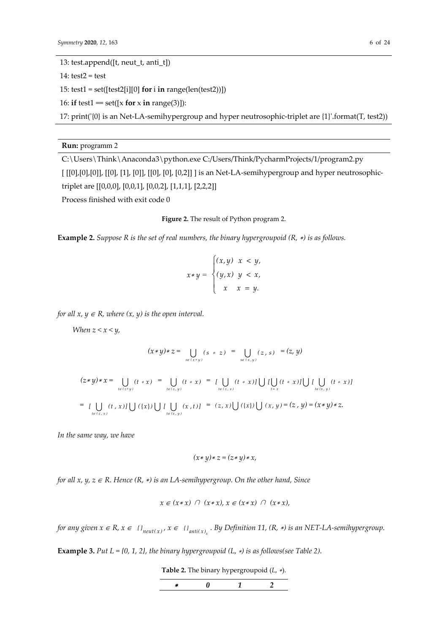$14: test2 = test$ 

15: test1 = set([test2[i][0] **for** i **in** range(len(test2))])

16: **if**  $test1 = set([x for x in range(3)]):$ 

17: print('{0} is an Net-LA-semihypergroup and hyper neutrosophic-triplet are {1}'.format(T, test2))

**Run:** programm 2

C:\Users\Think\Anaconda3\python.exe C:/Users/Think/PycharmProjects/1/program2.py [  $[[0],[0],[0]]$ ,  $[[0]$ ,  $[1]$ ,  $[0]]$ ,  $[[0]$ ,  $[0]$ ,  $[0]$ ,  $[0,2]]$  ] is an Net-LA-semihypergroup and hyper neutrosophictriplet are [[0,0,0], [0,0,1], [0,0,2], [1,1,1], [2,2,2]]

Process finished with exit code 0

#### **Figure 2.** The result of Python program 2.

**Example 2.** *Suppose R is the set of real numbers, the binary hypergroupoid (R,* ∗*) is as follows.* 

$$
x * y = \begin{cases} (x, y) & x < y, \\ (y, x) & y < x, \\ x & x = y. \end{cases}
$$

*for all x,*  $y \in R$ *, where*  $(x, y)$  *is the open interval.* 

*When*  $z < x < y$ ,

$$
(x * y) * z = \bigcup_{s \in (x * y)} (s * z) = \bigcup_{s \in (x, y)} (z, s) = (z, y)
$$
  

$$
(z * y) * x = \bigcup_{t \in (z * y)} (t * x) = \bigcup_{t \in (z, y)} (t * x) = \bigcup_{t \in (z, x)} (t * x) \bigcup \bigcup \bigcup_{t = x} [t * x] \bigcup \bigcup \bigcup_{t \in (x, y)} (t * x) \big]
$$
  

$$
= \bigcup_{t \in (z, x)} (t, x) \bigcup \bigcup (\{x\} \bigcup \bigcup_{t \in (x, y)} (x, t) \big] = (z, x) \bigcup (\{x\} \bigcup \bigcup (x, y) = (z, y) = (x * y) * z.
$$

*In the same way, we have* 

$$
(x * y) * z = (z * y) * x,
$$

*for all x, y, z* ∈ *R. Hence (R,* ∗*) is an LA-semihypergroup. On the other hand, Since* 

$$
x \in (x * x) \cap (x * x), x \in (x * x) \cap (x * x),
$$

*for any given*  $x \in R$ *,*  $x \in \mathcal{V}_{neut(x)}$ *,*  $x \in \mathcal{V}_{anti(x)}$ *. By Definition 11,*  $(R, *)$  *is an NET-LA-semihypergroup.* 

**Example 3.** *Put L* = {0, 1, 2}, the binary hypergroupoid (L,  $*$ ) is as follows(see Table 2).

**Table 2.** The binary hypergroupoid (*L*, ∗).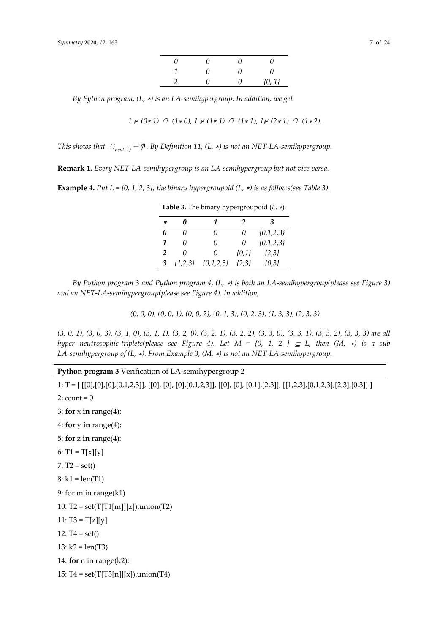| n | 1   | 0 | ( )      |
|---|-----|---|----------|
| 1 | ( ) | 0 | $\theta$ |
|   | 7   | 0 | ${0, 1}$ |

*By Python program, (L,* ∗*) is an LA-semihypergroup. In addition, we get* 

$$
1\not\in (0*1)\;\cap\; (1*0),\, 1\not\in (1*1)\;\cap\; (1*1),\, 1\not\in (2*1)\;\cap\; (1*2).
$$

*This shows that*  $\iint_{\text{neut}(1)} = \phi$ . By Definition 11, (L, \*) is not an NET-LA-semihypergroup.

**Remark 1.** *Every NET-LA-semihypergroup is an LA-semihypergroup but not vice versa.* 

**Example 4.** Put  $L = \{0, 1, 2, 3\}$ , the binary hypergroupoid  $(L, *)$  is as follows(see Table 3).

| $\ast$         | N         | 1             | 2         | 3             |
|----------------|-----------|---------------|-----------|---------------|
| 0              | 0         | 0             | $\theta$  | $\{0,1,2,3\}$ |
| 1              | 0         | 0             | O         | $\{0,1,2,3\}$ |
| $\overline{2}$ | O         | 0             | ${0,1}$   | $\{2,3\}$     |
| 3              | ${1,2,3}$ | $\{0,1,2,3\}$ | $\{2,3\}$ | ${0,3}$       |

**Table 3.** The binary hypergroupoid (*L*, ∗).

*By Python program 3 and Python program 4, (L,* ∗*) is both an LA-semihypergroup(please see Figure 3) and an NET-LA-semihypergroup(please see Figure 4). In addition,* 

*(0, 0, 0), (0, 0, 1), (0, 0, 2), (0, 1, 3), (0, 2, 3), (1, 3, 3), (2, 3, 3)*

*(3, 0, 1), (3, 0, 3), (3, 1, 0), (3, 1, 1), (3, 2, 0), (3, 2, 1), (3, 2, 2), (3, 3, 0), (3, 3, 1), (3, 3, 2), (3, 3, 3) are all hyper neutrosophic-triplets(please see Figure 4). Let M = {0, 1, 2 }*  $\subseteq L$ *, then*  $(M, *)$  *is a sub LA-semihypergroup of (L,* ∗*). From Example 3, (M,* ∗*) is not an NET-LA-semihypergroup.* 

**Python program 3** Verification of LA-semihypergroup 2

1: T = [ [[0],[0],[0],[0,1,2,3]], [[0], [0], [0],[0,1,2,3]], [[0], [0], [0,1],[2,3]], [[1,2,3],[0,1,2,3],[2,3],[0,3]] ]  $2:$  count =  $0$ 3: for  $\times$  **in** range(4): 4: **for** y **in** range(4): 5: **for** z **in** range(4): 6:  $T1 = T[x][y]$  $7: T2 = set()$  $8: k1 = len(T1)$ 9: for m in range(k1) 10:  $T2 = set(T[T1[m]][z]).$ union(T2)  $11: T3 = T[z][v]$ 12:  $T4 = set()$ 13:  $k2 = len(T3)$ 14: **for** n in range(k2): 15:  $T4 = set(T[T3[n]][x])$ .union(T4)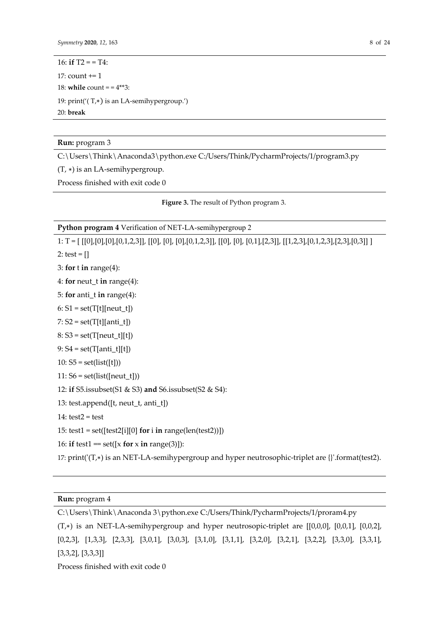16: **if**  $T2 = T4$ : 17: count += 1 18: **while** count =  $= 4**3$ : 19: print('( T,∗) is an LA-semihypergroup.') 20: **break**

**Run:** program 3

C:\Users\Think\Anaconda3\python.exe C:/Users/Think/PycharmProjects/1/program3.py

(T, ∗) is an LA-semihypergroup.

Process finished with exit code 0

**Figure 3.** The result of Python program 3.

#### **Python program 4** Verification of NET-LA-semihypergroup 2

1: T = [ [[0],[0],[0],[0,1,2,3]], [[0], [0], [0],[0,1,2,3]], [[0], [0], [0,1],[2,3]], [[1,2,3],[0,1,2,3],[2,3],[0,3]] ] 2: test =  $[$ ] 3: **for** t **in** range(4): 4: **for** neut\_t **in** range(4): 5: **for** anti\_t **in** range(4):  $6: S1 = set(T[t][neut_t])$  $7: S2 = \mathrm{set}(\mathrm{T[t][anti\_t]})$  $8: S3 = set(T[neut_t][t])$  $9: S4 = set(T[anti_t][t])$ 10:  $S5 = set(list([t]))$  $11: S6 = set(list([neut_t]))$ 12: **if** S5.issubset(S1 & S3) **and** S6.issubset(S2 & S4): 13: test.append([t, neut\_t, anti\_t])  $14: test2 = test$ 15: test1 = set([test2[i][0] **for** i **in** range(len(test2))]) 16: **if**  $test1 = set([x for x in range(3)]):$ 17: print('(T,∗) is an NET-LA-semihypergroup and hyper neutrosophic-triplet are {}'.format(test2).

### **Run:** program 4

C:\Users\Think\Anaconda 3\python.exe C:/Users/Think/PycharmProjects/1/proram4.py

(T,∗) is an NET-LA-semihypergroup and hyper neutrosopic-triplet are [[0,0,0], [0,0,1], [0,0,2], [0,2,3], [1,3,3], [2,3,3], [3,0,1], [3,0,3], [3,1,0], [3,1,1], [3,2,0], [3,2,1], [3,2,2], [3,3,0], [3,3,1], [3,3,2], [3,3,3]]

Process finished with exit code 0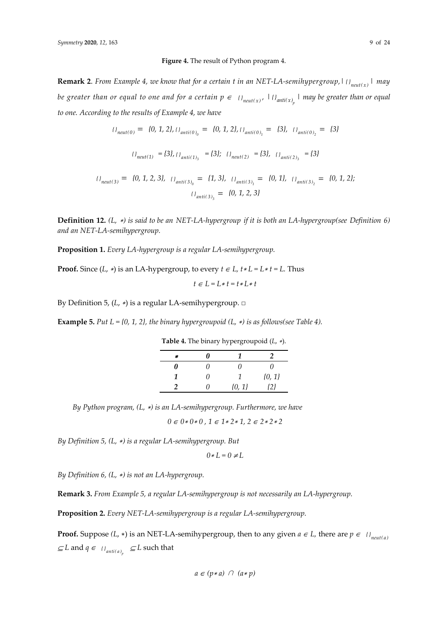#### **Figure 4.** The result of Python program 4.

**Remark 2.** *From Example 4, we know that for a certain t in an NET-LA-semihypergroup,*  $| \iint_{neut(x)} | \iint_{per}$ *be greater than or equal to one and for a certain*  $p \in \{0\}$ *<sub>neut(x)</sub>,*  $\{0\}$ *<sub><i>anti*(x<sub>)<sub>p</sub></sub>  $\}$  *may be greater than or equal*</sub> *to one. According to the results of Example 4, we have*

$$
U_{neut(0)} = \{0, 1, 2\}, \quad U_{anti(0)_0} = \{0, 1, 2\}, \quad U_{anti(0)_1} = \{3\}, \quad U_{anti(0)_2} = \{3\}
$$
\n
$$
U_{neut(1)} = \{3\}, \quad U_{anti(1)_3} = \{3\}; \quad U_{neut(2)} = \{3\}, \quad U_{anti(2)_3} = \{3\}
$$
\n
$$
U_{neut(3)} = \{0, 1, 2, 3\}, \quad U_{anti(3)_0} = \{1, 3\}, \quad U_{anti(3)_1} = \{0, 1\}, \quad U_{anti(3)_2} = \{0, 1, 2\}; \quad U_{anti(3)_3} = \{0, 1, 2, 3\}
$$

**Definition 12.** *(L,* <sup>∗</sup>*) is said to be an NET-LA-hypergroup if it is both an LA-hypergroup(see Definition 6) and an NET-LA-semihypergroup.* 

**Proposition 1.** *Every LA-hypergroup is a regular LA-semihypergroup.* 

**Proof.** Since  $(L, *)$  is an LA-hypergroup, to every  $t \in L$ ,  $t * L = L * t = L$ . Thus

$$
t\in L=L*t=t*L*t
$$

By Definition 5, (*L*, ∗) is a regular LA-semihypergroup. □

**Example 5.** *Put L = {0, 1, 2}, the binary hypergroupoid (L,* ∗*) is as follows(see Table 4).*

**Table 4.** The binary hypergroupoid (*L*, ∗).

| ٹلا | 0   |            |          |
|-----|-----|------------|----------|
| 0   | ( ) | 11         | 0        |
| 1   | 0   |            | ${0, 1}$ |
|     | 7   | $\{0, 1\}$ | {2}      |

*By Python program, (L,* ∗*) is an LA-semihypergroup. Furthermore, we have* 

*0* ∈ *0*∗ *0*∗ *0 , 1* ∈ *1*∗ *2*∗ *1, 2* ∈ *2*∗ *2*∗ *2*

*By Definition 5, (L,* ∗*) is a regular LA-semihypergroup. But* 

$$
0 \ast L = 0 \neq L
$$

*By Definition 6, (L,* ∗*) is not an LA-hypergroup.* 

**Remark 3.** *From Example 5, a regular LA-semihypergroup is not necessarily an LA-hypergroup.* 

**Proposition 2.** *Every NET-LA-semihypergroup is a regular LA-semihypergroup.* 

**Proof.** Suppose  $(L, *)$  is an NET-LA-semihypergroup, then to any given  $a \in L$ , there are  $p \in \{I\}$ <sub>*neut(a)*</sub>  $⊆ L$  and  $q ∈_{l}$ <sub>anti(a)<sub>p</sub></sup>  $⊆ L$  such that</sub>

$$
a \in (p * a) \cap (a * p)
$$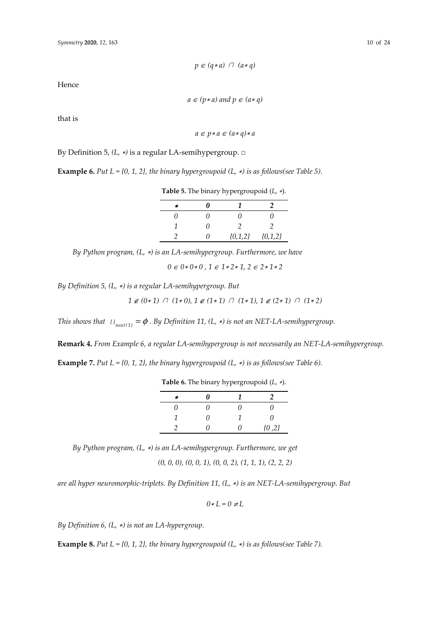Hence

 $a \in (p * a)$  and  $p \in (a * q)$ 

that is

*a* ∈ *p*<sup>∗</sup> *a* ∈ *(a*∗ *q)*<sup>∗</sup> *a*

By Definition 5, *(L,* <sup>∗</sup>*)* is a regular LA-semihypergroup. □

**Example 6.** *Put L* = {0, 1, 2}, the binary hypergroupoid (L,  $*$ ) is as follows(see Table 5).

**Table 5.** The binary hypergroupoid (*L*, ∗).

| 涂  | "  |           |           |
|----|----|-----------|-----------|
| 11 | 11 | 11        | 11        |
|    | 11 |           |           |
|    | 11 | ${0,1,2}$ | ${0,1,2}$ |

*By Python program, (L,* ∗*) is an LA-semihypergroup. Furthermore, we have* 

*0* ∈ *0*∗ *0*∗ *0 , 1* ∈ *1*∗ *2*∗ *1, 2* ∈ *2*∗ *1*∗ *2*

*By Definition 5, (L,* ∗*) is a regular LA-semihypergroup. But* 

*1* ∉ *(0*∗ *1)* ∩ *(1*∗ *0), 1* ∉ *(1*∗ *1)* ∩ *(1*∗ *1), 1* ∉ *(2*∗ *1)* ∩ *(1*∗ *2)*

*This shows that*  $\iota_{\text{neut}(1)} = \phi$ . By Definition 11, (L, \*) is not an NET-LA-semihypergroup.

**Remark 4.** *From Example 6, a regular LA-semihypergroup is not necessarily an NET-LA-semihypergroup.*

**Example 7.** *Put*  $L = \{0, 1, 2\}$ , the binary hypergroupoid  $(L, *)$  is as follows(see Table 6).

| $\mathbf{r}$ | 0   |     |         |
|--------------|-----|-----|---------|
| 0            | 0   | 11  | ,,      |
| 1            | O)  |     | ( )     |
| っ            | ( ) | ( I | ${0,2}$ |
|              |     |     |         |

**Table 6.** The binary hypergroupoid (*L*, ∗).

*By Python program, (L,* ∗*) is an LA-semihypergroup. Furthermore, we get* 

*(0, 0, 0), (0, 0, 1), (0, 0, 2), (1, 1, 1), (2, 2, 2)*

*are all hyper neuromorphic-triplets. By Definition 11, (L,* ∗*) is an NET-LA-semihypergroup. But* 

 $0 * L = 0 ≠ L$ 

*By Definition 6, (L,* ∗*) is not an LA-hypergroup.* 

**Example 8.** *Put L = {0, 1, 2}, the binary hypergroupoid (L,* ∗*) is as follows(see Table 7).*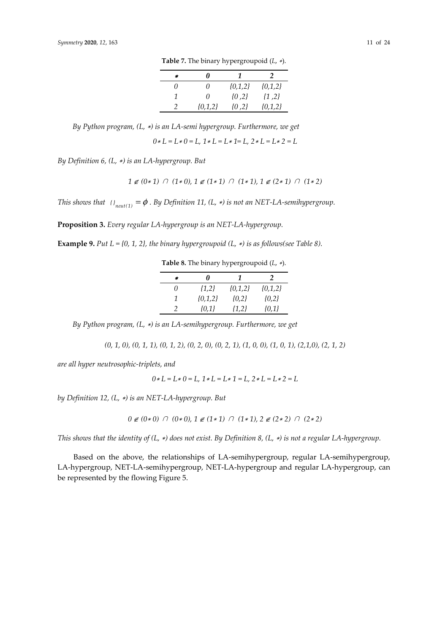| × | 0           | 7         | 2           |
|---|-------------|-----------|-------------|
| 0 | $\theta$    | ${0,1,2}$ | ${0,1,2}$   |
|   | 0           | $\{0,2\}$ | $\{1, 2\}$  |
|   | $\{0,1,2\}$ | $\{0,2\}$ | $\{0,1,2\}$ |

**Table 7.** The binary hypergroupoid (*L*, ∗).

*By Python program, (L,* ∗*) is an LA-semi hypergroup. Furthermore, we get* 

*0*∗ *L = L*∗ *0 = L, 1*∗ *L = L*∗ *1= L, 2*∗ *L = L*∗ *2 = L*

*By Definition 6, (L,* ∗*) is an LA-hypergroup. But* 

$$
1 \notin (0*1) \cap (1*0), 1 \notin (1*1) \cap (1*1), 1 \notin (2*1) \cap (1*2)
$$

*This shows that*  $\iota_{n_{\text{ent}(1)}} = \phi$ . By Definition 11, (L, \*) is not an NET-LA-semihypergroup.

**Proposition 3.** *Every regular LA-hypergroup is an NET-LA-hypergroup.* 

**Example 9.** *Put L* = {0, 1, 2}, the binary hypergroupoid (L,  $*$ ) is as follows(see Table 8).

**Table 8.** The binary hypergroupoid (*L*, ∗).

| × | 0         | 7            | 2           |
|---|-----------|--------------|-------------|
| 0 | $\{1,2\}$ | $\{0.1, 2\}$ | $\{0,1,2\}$ |
| 1 | ${0,1,2}$ | ${0,2}$      | ${0,2}$     |
|   | $\{0,1\}$ | ${1,2}$      | $\{0,1\}$   |

*By Python program, (L,* ∗*) is an LA-semihypergroup. Furthermore, we get* 

*(0, 1, 0), (0, 1, 1), (0, 1, 2), (0, 2, 0), (0, 2, 1), (1, 0, 0), (1, 0, 1), (2,1,0), (2, 1, 2)*

*are all hyper neutrosophic-triplets, and* 

*0*∗ *L = L*∗ *0 = L, 1*∗ *L = L*∗ *1 = L, 2*∗ *L = L*∗ *2 = L*

*by Definition 12, (L,* ∗*) is an NET-LA-hypergroup. But* 

$$
0 \notin (0*0) \cap (0*0), 1 \notin (1*1) \cap (1*1), 2 \notin (2*2) \cap (2*2)
$$

*This shows that the identity of (L,* ∗*) does not exist. By Definition 8, (L,* ∗*) is not a regular LA-hypergroup.* 

Based on the above, the relationships of LA-semihypergroup, regular LA-semihypergroup, LA-hypergroup, NET-LA-semihypergroup, NET-LA-hypergroup and regular LA-hypergroup, can be represented by the flowing Figure 5.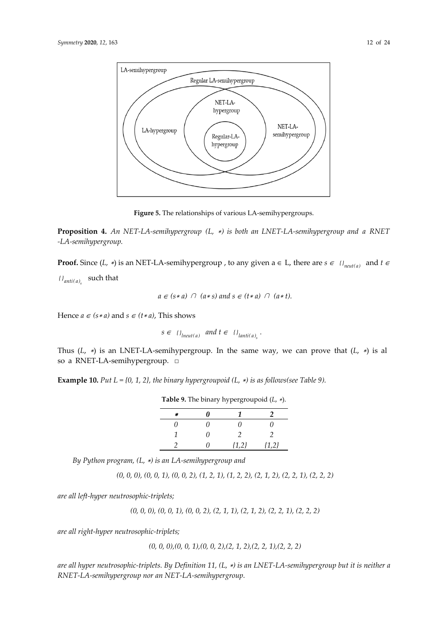

**Figure 5.** The relationships of various LA-semihypergroups.

**Proposition 4.** *An NET-LA-semihypergroup (L,* <sup>∗</sup>*) is both an LNET-LA-semihypergroup and a RNET -LA-semihypergroup.* 

**Proof.** Since  $(L, *)$  is an NET-LA-semihypergroup , to any given  $a \in L$ , there are  $s \in \{I_{neut(a)}\}$  and  $t \in L$ 

 $\{H_{anti(a)}\}$  such that

$$
a \in (s*a) \cap (a*s)
$$
 and  $s \in (t*a) \cap (a*t)$ .

Hence  $a \in (s * a)$  and  $s \in (t * a)$ , This shows

 $s \in \{ \}$ <sub>lneut(a)</sub> and  $t \in \{ \}$ <sub>lanti(a)<sub>c</sub></sub>.

Thus (*L*, <sup>∗</sup>) is an LNET-LA-semihypergroup. In the same way, we can prove that (*L*, <sup>∗</sup>) is al so a RNET-LA-semihypergroup. □

**Example 10.** *Put L = {0, 1, 2}, the binary hypergroupoid (L,* ∗*) is as follows(see Table 9).* 

|  |  | <b>Table 9.</b> The binary hypergroupoid $(L, *)$ . |  |  |
|--|--|-----------------------------------------------------|--|--|
|--|--|-----------------------------------------------------|--|--|

| $\star$ | N  |         | 2              |
|---------|----|---------|----------------|
| 0       | 0  | 0       | 11             |
|         | 0  |         | $\mathfrak{D}$ |
|         | O) | ${1,2}$ | ${1,2}$        |

*By Python program, (L,* ∗*) is an LA-semihypergroup and* 

*(0, 0, 0), (0, 0, 1), (0, 0, 2), (1, 2, 1), (1, 2, 2), (2, 1, 2), (2, 2, 1), (2, 2, 2)*

*are all left-hyper neutrosophic-triplets;* 

*(0, 0, 0), (0, 0, 1), (0, 0, 2), (2, 1, 1), (2, 1, 2), (2, 2, 1), (2, 2, 2)*

*are all right-hyper neutrosophic-triplets;* 

*(0, 0, 0),(0, 0, 1),(0, 0, 2),(2, 1, 2),(2, 2, 1),(2, 2, 2)*

*are all hyper neutrosophic-triplets. By Definition 11, (L,* ∗*) is an LNET-LA-semihypergroup but it is neither a RNET-LA-semihypergroup nor an NET-LA-semihypergroup.*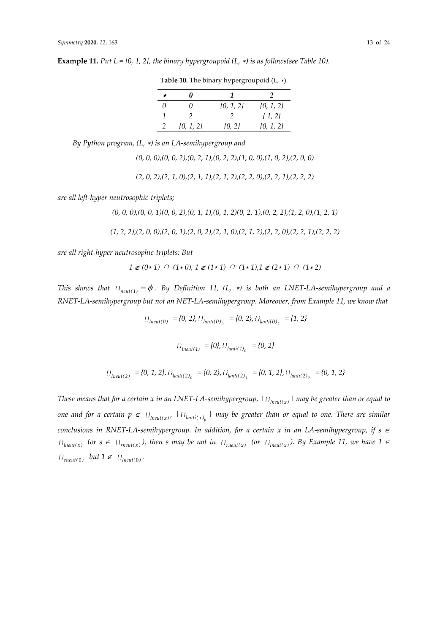|               | 0             |               |               |
|---------------|---------------|---------------|---------------|
| 0             | O)            | $\{0, 1, 2\}$ | $\{0, 1, 2\}$ |
| 1             | $\mathcal{L}$ | $\mathcal{P}$ | $\{1,2\}$     |
| $\mathcal{P}$ | $\{0, 1, 2\}$ | $\{0, 2\}$    | $\{0, 1, 2\}$ |

**Table 10.** The binary hypergroupoid (*L*, ∗).

**Example 11.** *Put L* = {0, 1, 2}, the binary hypergroupoid (L,  $*$ ) is as follows(see Table 10).

*By Python program, (L,* ∗*) is an LA-semihypergroup and* 

*(0, 0, 0),(0, 0, 2),(0, 2, 1),(0, 2, 2),(1, 0, 0),(1, 0, 2),(2, 0, 0)*

*(2, 0, 2),(2, 1, 0),(2, 1, 1),(2, 1, 2),(2, 2, 0),(2, 2, 1),(2, 2, 2)*

*are all left-hyper neutrosophic-triplets;* 

*(0, 0, 0),(0, 0, 1)(0, 0, 2),(0, 1, 1),(0, 1, 2)(0, 2, 1),(0, 2, 2),(1, 2, 0),(1, 2, 1)*

*(1, 2, 2),(2, 0, 0),(2, 0, 1),(2, 0, 2),(2, 1, 0),(2, 1, 2),(2, 2, 0),(2, 2, 1),(2, 2, 2)*

*are all right-hyper neutrosophic-triplets; But* 

$$
1\not\in (0\ast 1)\;\cap\; (1\ast 0),\, 1\not\in (1\ast 1)\;\cap\; (1\ast 1),\, 1\not\in (2\ast 1)\;\cap\; (1\ast 2)
$$

*This shows that*  $\{F_{neut(1)} = \phi$ . By Definition 11, (L, \*) is both an LNET-LA-semihypergroup and a *RNET-LA-semihypergroup but not an NET-LA-semihypergroup. Moreover, from Example 11, we know that* 

$$
I_{\text{Incut}(0)} = \{0, 2\}, \{I_{\text{Innti}(0)} = \{0, 2\}, \{I_{\text{Innti}(0)} = \{1, 2\}
$$

$$
\{I_{\text{Incut}(1)} = \{0\}, \{I_{\text{Ianti}(1)}\} = \{0, 2\}
$$

$$
\{J_{\text{Ineut}(2)} = \{0, 1, 2\}, \{J_{\text{Ianti}(2)}_0 = \{0, 2\}, \{J_{\text{Ianti}(2)}_1 = \{0, 1, 2\}, \{J_{\text{Ianti}(2)}_2 = \{0, 1, 2\}\}\}
$$

*These means that for a certain x in an LNET-LA-semihypergroup,*  $|_{\{I_{lneut(x)}\}}|$  *may be greater than or equal to one and for a certain*  $p \in \{I\}_{\text{Inetti}(x)}$ *,*  $|I\}_{\text{Inetti}(x)}$ ,  $|$  *may be greater than or equal to one. There are similar conclusions in RNET-LA-semihypergroup. In addition, for a certain x in an LA-semihypergroup, if s* <sup>∈</sup> *l*<sub>lneut(x)</sub> (or *s* ∈ *l*<sub>1</sub><sub>*meut(x)*</sub>), then *s* may be not in *l*<sub>1</sub><sub>*meut(x)*</sub> (or *l*<sub>1</sub><sub>*lneut(x)*</sub>). By Example 11, we have 1 ∈  $\{F_{0} = \{F_{0} \} \}$  but  $1 \notin \{F_{0} \}$  .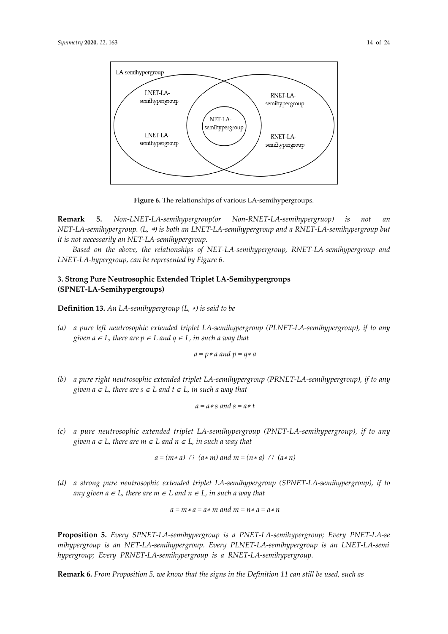

**Figure 6.** The relationships of various LA-semihypergroups.

**Remark 5.** *Non-LNET-LA-semihypergroup(or Non-RNET-LA-semihypergruop) is not an NET-LA-semihypergroup. (L,* ∗*) is both an LNET-LA-semihypergroup and a RNET-LA-semihypergroup but it is not necessarily an NET-LA-semihypergroup.* 

*Based on the above, the relationships of NET-LA-semihypergroup, RNET-LA-semihypergroup and LNET-LA-hypergroup, can be represented by Figure 6.* 

### **3. Strong Pure Neutrosophic Extended Triplet LA-Semihypergroups (SPNET-LA-Semihypergroups)**

**Definition 13.** *An LA-semihypergroup (L,* ∗*) is said to be* 

*(a) a pure left neutrosophic extended triplet LA-semihypergroup (PLNET-LA-semihypergroup), if to any given a*  $\in$  *L*, there are  $p \in L$  and  $q \in L$ , in such a way that

$$
a = p * a
$$
 and  $p = q * a$ 

*(b) a pure right neutrosophic extended triplet LA-semihypergroup (PRNET-LA-semihypergroup), if to any given a*  $\in$  *L*, there are  $s \in L$  and  $t \in L$ , in such a way that

$$
a = a * s \ and \ s = a * t
$$

*(c) a pure neutrosophic extended triplet LA-semihypergroup (PNET-LA-semihypergroup), if to any given a* ∈ *L, there are m* ∈ *L and n* ∈ *L, in such a way that* 

$$
a = (m * a) \cap (a * m) \text{ and } m = (n * a) \cap (a * n)
$$

*(d) a strong pure neutrosophic extended triplet LA-semihypergroup (SPNET-LA-semihypergroup), if to any given a ∈ L*, there are  $m$  ∈ *L* and  $n$  ∈ *L*, in such a way that

$$
a = m \ast a = a \ast m \text{ and } m = n \ast a = a \ast n
$$

**Proposition 5.** *Every SPNET-LA-semihypergroup is a PNET-LA-semihypergroup; Every PNET-LA-se mihypergroup is an NET-LA-semihypergroup. Every PLNET-LA-semihypergroup is an LNET-LA-semi hypergroup; Every PRNET-LA-semihypergroup is a RNET-LA-semihypergroup.* 

**Remark 6.** *From Proposition 5, we know that the signs in the Definition 11 can still be used, such as*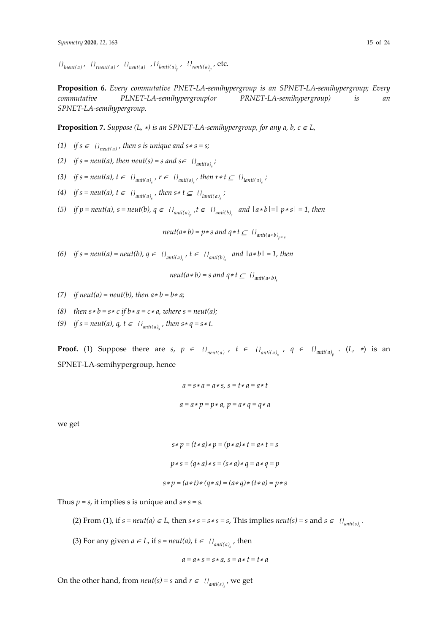*l*<sub>*lneut(a)*</sub>  $\iint$  *rneut(a) f l*<sub>*neut(a)*</sub> *f l*<sub>*lanti(a)*<sub>n</sub></sub> *f l*<sub>*ranti(a)*<sub>n</sub></sub> *f* **etc.** 

**Proposition 6.** *Every commutative PNET-LA-semihypergroup is an SPNET-LA-semihypergroup; Every commutative PLNET-LA-semihypergroup(or PRNET-LA-semihypergroup) is an SPNET-LA-semihypergroup.* 

**Proposition 7.** Suppose (L,  $*$ ) is an SPNET-LA-semihypergroup, for any a, b,  $c \in L$ ,

- *(1) if s* ∈  ${I}$ <sub>*neut(a)*</sub>, *then s is unique and s*  $*$  *s* = *s*;
- (2) if  $s = neut(a)$ , then neut(s) = s and  $s \in \{B_{anti(s)}\}$ ;
- (3) if *s* = *neut*(*a*), *t* ∈ *{*}<sub>*anti(a)*</sub> *, r* ∈ *{*}<sub>*anti(s)*</sub> *, then r* \* *t* ⊆ *{*}<sub>*lanti(a)*</sub> *;*
- *(4) if*  $s = \text{neut}(a)$ ,  $t \in \{ \}$ <sub>*anti(a)<sub>s</sub></sub>*, *then*  $s * t \subseteq \{ \}$ <sub>*lanti(a)<sub>s</sub></sub>*,</sub></sub>
- *(5) if*  $p = \text{neut}(a)$ ,  $s = \text{neut}(b)$ ,  $q \in \{0\}$ <sub>*anti(a)*  $s \in \{0\}$ <sub>*anti(b) and*  $|a * b| = |p * s| = 1$ *, then*</sub></sub>

*neut*( $a * b$ ) =  $p * s$  *and*  $q * t \subseteq \{ \}$ <sub>*anti*( $a * b$ )</sub>

*(6) if*  $s = neut(a) = neut(b)$ ,  $q \in \{l_{anti(a)} \mid t \in \{l_{anti(b)} \mid and \mid a*b\} = 1$ , then

*neut*( $a * b$ ) = *s* and  $q * t \subseteq \{ \}$ <sub>anti( $a * b$ )</sub>

- *(7) if neut(a)* = *neut(b), then*  $a * b = b * a$ *;*
- (8) then  $s * b = s * c$  if  $b * a = c * a$ , where  $s = neutr(a)$ ;
- *(9) if*  $s = \text{neut}(a)$ ,  $q$ ,  $t \in \{i\}$ <sub>*anti(a)*, *then*  $s * q = s * t$ .</sub>

**Proof.** (1) Suppose there are *s*,  $p \in \{1\}$ <sub>neut(a)</sub>,  $t \in \{1\}$ <sub>anti(a)</sub>,  $q \in \{1\}$ <sub>anti(a)</sub>,  $(L, *)$  is an SPNET-LA-semihypergroup, hence

$$
a = s * a = a * s, s = t * a = a * t
$$

$$
a = a * p = p * a, p = a * q = q * a
$$

we get

$$
s * p = (t * a) * p = (p * a) * t = a * t = s
$$

$$
p * s = (q * a) * s = (s * a) * q = a * q = p
$$

$$
s * p = (a * t) * (q * a) = (a * q) * (t * a) = p * s
$$

Thus  $p = s$ , it implies *s* is unique and  $s * s = s$ .

(2) From (1), if  $s = neut(a) \in L$ , then  $s * s = s * s = s$ , This implies  $neut(s) = s$  and  $s \in \{l_{anti(s)}\}$ .

(3) For any given  $a \in L$ , if  $s = \text{neut}(a)$ ,  $t \in \{a\}_{\text{anti}(a)}$ , then

$$
a = a * s = s * a, s = a * t = t * a
$$

On the other hand, from *neut*(*s*) = *s* and  $r \in \{I_{\text{anti}(s)}\}$ , we get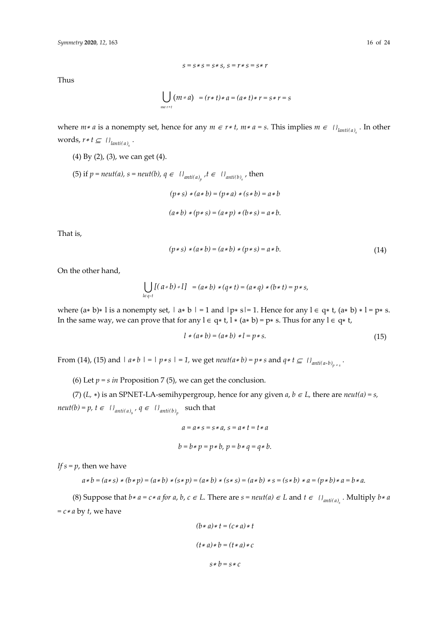Thus

$$
\bigcup_{m\in r*t} (m*a) = (r*t)*a = (a*t)*r = s*r = s
$$

 $s = s * s = s * s$ ,  $s = r * s = s * r$ 

where  $m * a$  is a nonempty set, hence for any  $m \in r * t$ ,  $m * a = s$ . This implies  $m \in \{I_{lanti(a)}\}$ . In other words,  $r * t \subseteq \{I\}_{lanti(a)}$ .

- (4) By (2), (3), we can get (4).
- (5) if  $p = neut(a)$ ,  $s = neut(b)$ ,  $q \in \{l_{anti(a)} \}$ ,  $t \in \{l_{anti(b)} \}$ , then *(p*∗ *s)* <sup>∗</sup>*(a*∗ *b) = (p*<sup>∗</sup> *a)* <sup>∗</sup>*(s*∗ *b) = a*∗ *b*   $(a * b) * (p * s) = (a * p) * (b * s) = a * b.$

That is,

$$
(p * s) * (a * b) = (a * b) * (p * s) = a * b.
$$
\n(14)

On the other hand,

$$
\bigcup_{l \in q+t} [(a*b)*l] = (a*b)*(q*t) = (a*q)*(b*t) = p*s,
$$

where  $(a * b)* l$  is a nonempty set,  $|a * b| = 1$  and  $|p * s| = 1$ . Hence for any  $l \in q * t$ ,  $(a * b) * l = p * s$ . In the same way, we can prove that for any  $l \in q*t$ ,  $l * (a*b) = p*s$ . Thus for any  $l \in q*t$ ,

$$
l * (a * b) = (a * b) * l = p * s.
$$
 (15)

From (14), (15) and  $|a*b| = |p*s| = 1$ , we get  $neut(a*b) = p*s$  and  $q*t \subseteq {l'}_{anti(a*b)}_{p*s}$ .

(6) Let  $p = s$  *in* Proposition 7 (5), we can get the conclusion.

(7) (*L*,  $*$ ) is an SPNET-LA-semihypergroup, hence for any given  $a$ ,  $b \in L$ , there are  $neut(a) = s$ , *neut*(*b*) = *p*, *t*  $\in$  { *}*<sub>*anti*(*a*)<sub>*s*</sub></sub>, *q*  $\in$  { *}*<sub>*anti*(*b*)<sub>*n*</sub></sub> such that

$$
a = a * s = s * a, s = a * t = t * a
$$
  

$$
b = b * p = p * b, p = b * q = q * b.
$$

*If*  $s = p$ , then we have

$$
a * b = (a * s) * (b * p) = (a * b) * (s * p) = (a * b) * (s * s) = (a * b) * s = (s * b) * a = (p * b) * a = b * a.
$$

(8) Suppose that  $b * a = c * a$  for  $a, b, c \in L$ . There are  $s = neutr(a) \in L$  and  $t \in \{B_{ant i(a)}\}$ . Multiply  $b * a$ *= c*∗ *a* by *t*, we have

$$
(b * a) * t = (c * a) * t
$$

$$
(t * a) * b = (t * a) * c
$$

$$
s * b = s * c
$$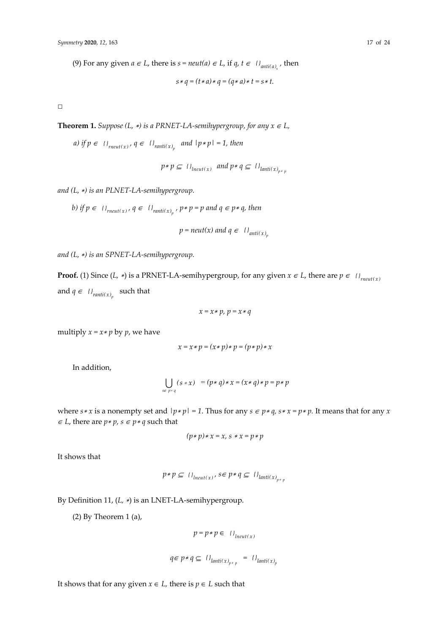(9) For any given  $a \in L$ , there is  $s = \text{neut}(a) \in L$ , if  $q, t \in \{a\}_{\text{anti}(a)}$ , then

$$
s * q = (t * a) * q = (q * a) * t = s * t.
$$

□

**Theorem 1.** Suppose (L,  $*$ ) is a PRNET-LA-semihypergroup, for any  $x \in L$ ,

*a)* if  $p \in \{1\}$ <sub>*rneut*(*x*)</sub>,  $q \in \{1\}$ <sub>*ranti*(*x*)<sub>n</sub></sub> and  $|p * p| = 1$ , then

$$
p * p \subseteq \{1_{\text{Ineut}(x)} \text{ and } p * q \subseteq \{1_{\text{Ianti}(x)}_{p * p}}\}
$$

*and (L,* <sup>∗</sup>*) is an PLNET-LA-semihypergroup.* 

b) if 
$$
p \in \{J_{\text{meut}(x)}, q \in \{J_{\text{ranti}(x)}\}\}
$$
,  $p * p = p$  and  $q \in p * q$ , then  

$$
p = \text{neut}(x) \text{ and } q \in \{J_{\text{anti}(x)}\}
$$

and 
$$
(L, *)
$$
 is an SPNET-LA-semihypergroup.

**Proof.** (1) Since (*L,*  $*$ ) is a PRNET-LA-semihypergroup, for any given  $x \in L$ , there are  $p \in \{F_{\text{meut}(x)}\}$ and  $q \in \{P_{\text{ranti}(x)}\}$  such that

$$
x = x * p, \ p = x * q
$$

multiply  $x = x * p$  by  $p$ , we have

$$
x = x * p = (x * p) * p = (p * p) * x
$$

In addition,

$$
\bigcup_{s \in p+q} (s * x) = (p * q) * x = (x * q) * p = p * p
$$

where *s*  $\ast x$  is a nonempty set and  $|p * p| = 1$ . Thus for any  $s \in p * q$ ,  $s * x = p * p$ . It means that for any *x ∈ L*, there are  $p * p$ ,  $s ∈ p * q$  such that

$$
(p*p)*x=x, \, s*x=p*p
$$

It shows that

$$
p * p \subseteq \{1_{\text{Ineut}(x)}, s \in p * q \subseteq \{1_{\text{Ianti}(x)_{p * p}}\}\}
$$

By Definition 11, (*L,* ∗) is an LNET-LA-semihypergroup.

(2) By Theorem 1 (a),

$$
p = p * p \in \{1_{\text{incut}(x)}\}
$$

$$
q\in p*q\subseteq~\{ \}_{lanti(x)_{p*p}}~=~\{ \}_{lanti(x)_{p}}
$$

It shows that for any given *x* ∈ *L*, there is *p* ∈ *L* such that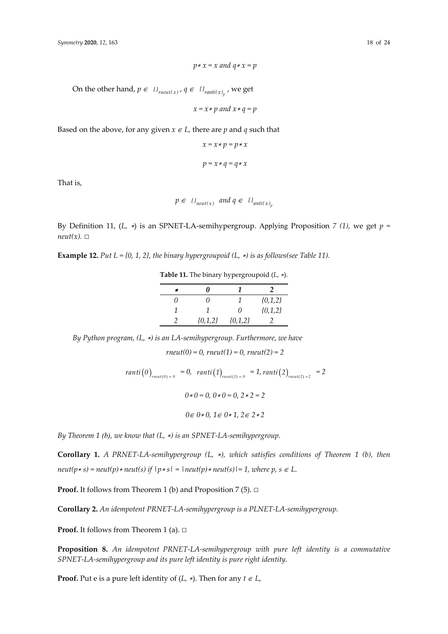On the other hand,  $p \in \{1_{\text{meut}(x)}, q \in \{1_{\text{ramtit}(x)}\}$ , we get

*x = x*∗ *p and x*∗ *q = p* 

Based on the above, for any given  $x \in L$ , there are *p* and *q* such that

$$
x = x * p = p * x
$$

$$
p = x * q = q * x
$$

That is,

$$
p \in \{J_{neut(x)} \text{ and } q \in \{J_{anti(x)}\}
$$

By Definition 11, (*L,* ∗) is an SPNET-LA-semihypergroup. Applying Proposition *7 (1),* we get *p =*   $neut(x)$ .  $\square$ 

**Example 12.** *Put*  $L = \{0, 1, 2\}$ , the binary hypergroupoid  $(L, *)$  is as follows(see Table 11).

| × | "         |           |           |
|---|-----------|-----------|-----------|
| O | 11        |           | ${0,1,2}$ |
|   |           | $\theta$  | ${0,1,2}$ |
|   | ${0,1,2}$ | ${0,1,2}$ |           |

**Table 11.** The binary hypergroupoid (*L*, ∗).

*By Python program, (L,* ∗*) is an LA-semihypergroup. Furthermore, we have* 

*rneut(0) = 0, rneut(1) = 0, rneut(2) = 2* 

$$
ranti(0)_{\text{reut}(0)=0} = 0, \ \ ranti(1)_{\text{reut}(1)=0} = 1, \ ranti(2)_{\text{reut}(2)=2} = 2
$$
\n
$$
0 \times 0 = 0, \ 0 \times 0 = 0, \ 2 \times 2 = 2
$$
\n
$$
0 \in 0 \times 0, \ 1 \in 0 \times 1, \ 2 \in 2 \times 2
$$

*By Theorem 1 (b), we know that (L,* ∗*) is an SPNET-LA-semihypergroup.* 

**Corollary 1.** *A PRNET-LA-semihypergroup (L,* ∗*), which satisfies conditions of Theorem 1 (b), then*   $neut(p*s) = neut(p)*neut(s)$  if  $|p*s| = |neut(p)*neut(s)| = 1$ , where p, s  $\in$  L.

**Proof.** It follows from Theorem 1 (b) and Proposition 7 (5). □

**Corollary 2.** *An idempotent PRNET-LA-semihypergroup is a PLNET-LA-semihypergroup.* 

**Proof.** It follows from Theorem 1 (a). □

**Proposition 8.** *An idempotent PRNET-LA-semihypergroup with pure left identity is a commutative SPNET-LA-semihypergroup and its pure left identity is pure right identity.* 

**Proof.** Put e is a pure left identity of  $(L, *)$ . Then for any  $t \in L$ ,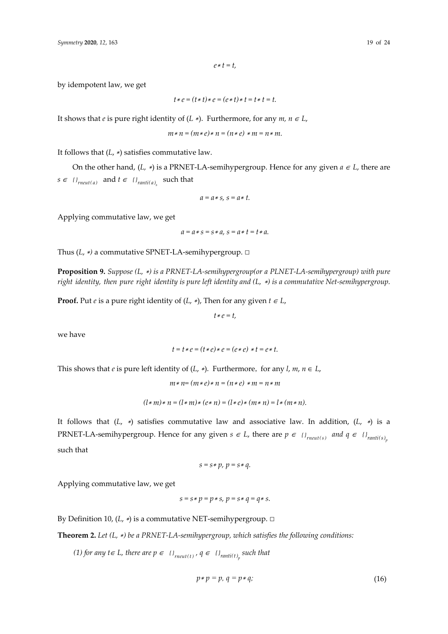by idempotent law, we get

$$
t * e = (t * t) * e = (e * t) * t = t * t = t.
$$

It shows that *e* is pure right identity of  $(L \ast)$ . Furthermore, for any  $m, n \in L$ ,

$$
m * n = (m * e) * n = (n * e) * m = n * m.
$$

It follows that (*L*, <sup>∗</sup>) satisfies commutative law.

On the other hand,  $(L, *)$  is a PRNET-LA-semihypergroup. Hence for any given  $a \in L$ , there are *s*∈  ${I}_{reut(a)}$  and  ${t} ∈ {I}_{ranti(a)}$  such that

$$
a=a*s, s=a*t.
$$

Applying commutative law, we get

 $a = a * s = s * a$ ,  $s = a * t = t * a$ .

Thus (*L*, <sup>∗</sup>*)* a commutative SPNET-LA-semihypergroup. □

**Proposition 9.** *Suppose (L,* ∗*) is a PRNET-LA-semihypergroup(or a PLNET-LA-semihypergroup) with pure right identity, then pure right identity is pure left identity and (L,* ∗*) is a commutative Net-semihypergroup.* 

**Proof.** Put *e* is a pure right identity of  $(L, *)$ , Then for any given  $t \in L$ ,

*t*<sup>∗</sup> *e = t,* 

we have

$$
t = t \ast e = (t \ast e) \ast e = (e \ast e) \ast t = e \ast t.
$$

This shows that *e* is pure left identity of  $(L, *)$ . Furthermore, for any  $l, m, n \in L$ ,

$$
m * n = (m * e) * n = (n * e) * m = n * m
$$

$$
(l * m) * n = (l * m) * (e * n) = (l * e) * (m * n) = l * (m * n).
$$

It follows that (*L*, <sup>∗</sup>) satisfies commutative law and associative law. In addition, (*L*, ∗) is a PRNET-LA-semihypergroup. Hence for any given  $s \in L$ , there are  $p \in \{l_{\text{meut}(s)}\}$  and  $q \in \{l_{\text{ramti}(s)}\}$ such that

$$
s = s * p, p = s * q.
$$

Applying commutative law, we get

$$
s = s * p = p * s, p = s * q = q * s.
$$

By Definition 10, (*L*, \*) is a commutative NET-semihypergroup. □

**Theorem 2.** *Let (L,* ∗*) be a PRNET-LA-semihypergroup, which satisfies the following conditions:* 

*(1) for any t∈ L, there are p ∈*  $\{P_{\text{rneut}(t)}\}$ ,  $q ∈ \{P_{\text{ranti}(t)}\}$  such that

$$
p * p = p, q = p * q;
$$
\n<sup>(16)</sup>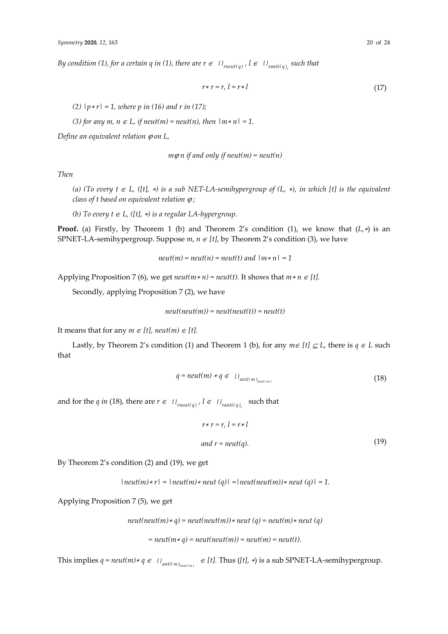*By condition (1), for a certain q in (1), there are*  $r \in \{l_{\text{metal}(q)}, l \in \{l_{\text{rant}(q)}\} \}$  *such that* 

$$
r*r = r, l = r:l \tag{17}
$$

*(2) |p*∗ *r| = 1, where p in (16) and r in (17);* 

*(3) for any m, n ∈ L, if neut(m) = neut(n), then*  $|m*n| = 1$ *.* 

*Define an equivalent relation*  $\varphi$  *on L,* 

$$
m\varphi n \text{ if and only if } \text{neut}(m) = \text{neut}(n)
$$

*Then* 

*(a) (To every t* ∈ *L, ([t],* <sup>∗</sup>*) is a sub NET-LA-semihypergroup of (L,* ∗*), in which [t] is the equivalent class of t based on equivalent relation* ϕ *;* 

*(b)* To every  $t \in L$ , ([t], \*) is a regular LA-hypergroup.

**Proof.** (a) Firstly, by Theorem 1 (b) and Theorem 2's condition (1), we know that (*L*,∗) is an SPNET-LA-semihypergroup. Suppose *m*, *n* ∈ *[t]*, by Theorem 2's condition (3), we have

 $neut(m) = neut(n) = neut(t)$  and  $|m * n| = 1$ 

Applying Proposition 7 (6), we get  $neut(m*n) = neut(t)$ . It shows that  $m*n \in [t]$ .

Secondly, applying Proposition 7 (2), we have

 $neut(new(m)) = neut(new(t)) = neut(t)$ 

It means that for any  $m \in [t]$ , neut $(m) \in [t]$ .

Lastly, by Theorem 2's condition (1) and Theorem 1 (b), for any  $m \in [t] \subseteq L$ , there is  $q \in L$  such that

$$
q = neutr(m) * q \in \{1_{anti(m)}_{neut(m)} \tag{18}
$$

and for the *q in* (18), there are  $r \in \{F_{\text{meut}(q)}, i \in \{F_{\text{ranti}(q)}\} \}$  such that

$$
r*r = r, l = r*l
$$
  
and  $r = neut(q)$ . (19)

By Theorem 2's condition (2) and (19), we get

$$
|\text{neut}(m) * r| = |\text{neut}(m) * \text{neut}(q)| = |\text{neut}(n|) * \text{neut}(q)| = 1.
$$

Applying Proposition 7 (5), we get

*neut(neut(m)*∗ *q) = neut(neut(m))*∗ *neut (q) = neut(m)*∗ *neut (q)* 

*= neut(m*<sup>∗</sup> *q) = neut(neut(m)) = neut(m) = neut(t).* 

This implies  $q = neutr(m) * q \in \{l\}_{anti(m)_{neut(m)}} \in [t]$ . Thus ( $[t]$ , \*) is a sub SPNET-LA-semihypergroup.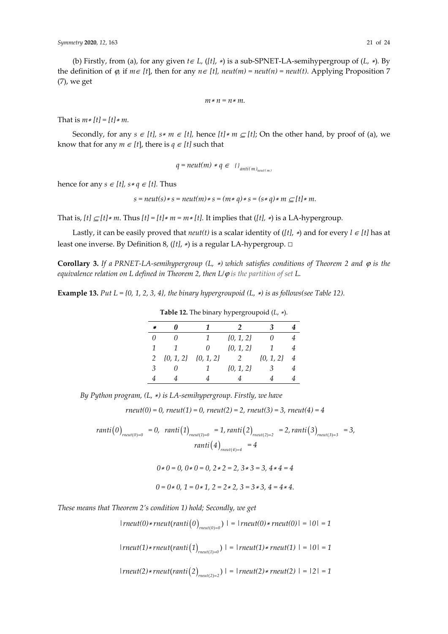(b) Firstly, from (a), for any given  $t \in L$ ,  $(lt]$ ,  $\ast$ ) is a sub-SPNET-LA-semihypergroup of  $(L, \ast)$ . By the definition of  $\varphi$ , if  $m \in [t]$ , then for any  $n \in [t]$ , neut(m) = neut(n) = neut(t). Applying Proposition 7 (7), we get

$$
m*n=n*m.
$$

That is *m*∗ *[t] = [t]*∗ *m.* 

Secondly, for any  $s \in [t]$ ,  $s * m \in [t]$ , hence  $[t] * m \subseteq [t]$ ; On the other hand, by proof of (a), we know that for any  $m \in [t]$ , there is  $q \in [t]$  such that

$$
q = neutr(m) * q \in \{I_{anti(m)_{neut(m)}}\}
$$

hence for any  $s \in [t]$ ,  $s * q \in [t]$ . Thus

$$
s = neutr(s) * s = neutr(m) * s = (m * q) * s = (s * q) * m \subseteq [t] * m.
$$

That is,  $[t] \subseteq [t] * m$ . Thus  $[t] = [t] * m = m * [t]$ . It implies that  $([t], *)$  is a LA-hypergroup.

Lastly, it can be easily proved that  $neut(t)$  is a scalar identity of ( $[t]$ , \*) and for every  $l \in [t]$  has at least one inverse. By Definition 8, (*[t]*, <sup>∗</sup>) is a regular LA-hypergroup. □

**Corollary 3.** If a PRNET-LA-semihypergroup (L,  $*$ ) which satisfies conditions of Theorem 2 and  $\varphi$  is the *equivalence relation on L defined in Theorem 2, then L/*ϕ *is the partition of set L.* 

**Example 13.** Put  $L = \{0, 1, 2, 3, 4\}$ , the binary hypergroupoid (L,  $*$ ) is as follows(see Table 12).

| $\ast$  |                             | 1        | 2             | З             |   |
|---------|-----------------------------|----------|---------------|---------------|---|
| 0       |                             | 1        | $\{0, 1, 2\}$ |               |   |
| 1       | 1                           | $\theta$ | $\{0, 1, 2\}$ | 1             | 4 |
| 2       | $\{0, 1, 2\}$ $\{0, 1, 2\}$ |          | 2             | $\{0, 1, 2\}$ | 4 |
| $\beta$ | $\theta$                    | 1        | $\{0, 1, 2\}$ | 3             |   |
|         |                             |          |               |               |   |
|         |                             |          |               |               |   |

**Table 12.** The binary hypergroupoid (*L*, ∗).

*By Python program, (L,* ∗*) is LA-semihypergroup. Firstly, we have* 

 $rneut(0) = 0$ ,  $rneut(1) = 0$ ,  $rneut(2) = 2$ ,  $rneut(3) = 3$ ,  $rneut(4) = 4$ 

 $ranti(0)_{meut(0)=0}$  = 0,  $ranti(1)_{meut(1)=0}$  = 1,  $ranti(2)_{meut(2)=2}$  = 2,  $ranti(3)_{meut(3)=3}$  = 3,  $ranti(4)_{rneut(4)=4}$  = 4

$$
0 * 0 = 0, 0 * 0 = 0, 2 * 2 = 2, 3 * 3 = 3, 4 * 4 = 4
$$

 $0 = 0 * 0, 1 = 0 * 1, 2 = 2 * 2, 3 = 3 * 3, 4 = 4 * 4.$ 

*These means that Theorem 2's condition 1) hold; Secondly, we get* 

 $|rneut(0)*rneut(ranti(0))_{meut(0)=0})|$  =  $|rneut(0)*rneut(0)|$  =  $|0|=1$ 

*|rneut(1)∗rneut(ranti*(1)<sub>*rneut(1*)=0) | = |*rneut(1)∗rneut(1)* | = |0| = 1</sub>

*|rneut(2)∗rneut(ranti*(2)<sub>*rneut(2)*=2) | = |*rneut(2)∗rneut(2)* | = |2| = 1</sub>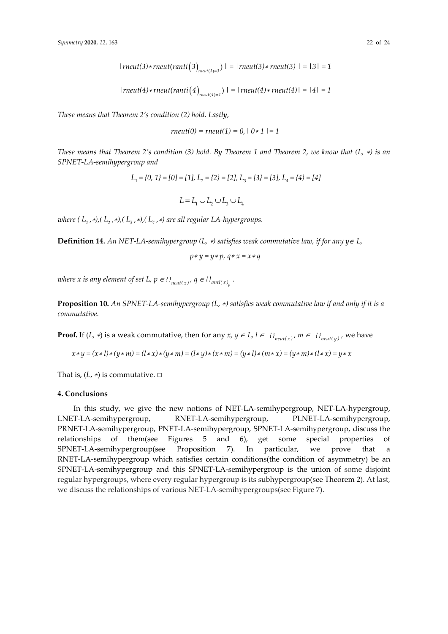*|rneut*(3)\**rneut*(*ranti*(3)<sub>*rneut*(3)=3</sub>) | = |*rneut*(3)\**rneut*(3) | = |3| = 1

 $|rneut(4)*rneut(ranti(4))_{meut(4)=4})|$   $= |rneut(4)*rneut(4)|$   $= |4|$   $= 1$ 

*These means that Theorem 2's condition (2) hold. Lastly,* 

$$
rneut(0) = rneut(1) = 0, | 0 * 1 | = 1
$$

*These means that Theorem 2's condition (3) hold. By Theorem 1 and Theorem 2, we know that (L,* ∗*) is an SPNET-LA-semihypergroup and* 

$$
L_1 = \{0, 1\} = [0] = [1], L_2 = \{2\} = [2], L_3 = \{3\} = [3], L_4 = \{4\} = [4]
$$

$$
L=L_1\cup L_2\cup L_3\cup L_4
$$

*where*  $(L_1, *), (L_2, *), (L_3, *), (L_4, *)$  are all regular LA-hypergroups.

**Definition 14.** *An NET-LA-semihypergroup (L,* ∗*) satisfies weak commutative law, if for any y*∈ *L,* 

$$
p * y = y * p, q * x = x * q
$$

*where x is any element of set L,*  $p \in \{ \}$ *<sub>neut(x)</sub>,*  $q \in \{ \}$ *<sub>anti(x)</sub>* $\}$ *.* 

**Proposition 10.** *An SPNET-LA-semihypergroup (L,* ∗*) satisfies weak commutative law if and only if it is a commutative.*

**Proof.** If  $(L, *)$  is a weak commutative, then for any  $x, y \in L, l \in \{l\}_{neut(x)}, m \in \{l\}_{net(y)}$ , we have

$$
x * y = (x * l) * (y * m) = (l * x) * (y * m) = (l * y) * (x * m) = (y * l) * (m * x) = (y * m) * (l * x) = y * x
$$

That is,  $(L, *)$  is commutative.  $\square$ 

#### **4. Conclusions**

In this study, we give the new notions of NET-LA-semihypergroup, NET-LA-hypergroup, LNET-LA-semihypergroup, RNET-LA-semihypergroup, PLNET-LA-semihypergroup, PRNET-LA-semihypergroup, PNET-LA-semihypergroup, SPNET-LA-semihypergroup, discuss the relationships of them(see Figures 5 and 6), get some special properties of SPNET-LA-semihypergroup(see Proposition 7). In particular, we prove that a RNET-LA-semihypergroup which satisfies certain conditions(the condition of asymmetry) be an SPNET-LA-semihypergroup and this SPNET-LA-semihypergroup is the union of some disjoint regular hypergroups, where every regular hypergroup is its subhypergroup(see Theorem 2). At last, we discuss the relationships of various NET-LA-semihypergroups(see Figure 7).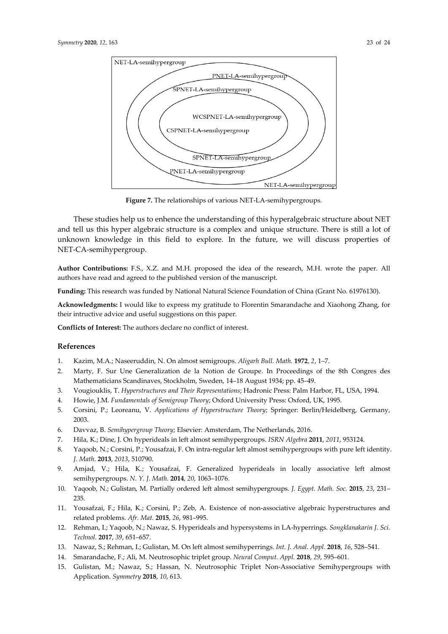

**Figure 7.** The relationships of various NET-LA-semihypergroups.

These studies help us to enhence the understanding of this hyperalgebraic structure about NET and tell us this hyper algebraic structure is a complex and unique structure. There is still a lot of unknown knowledge in this field to explore. In the future, we will discuss properties of NET-CA-semihypergroup.

**Author Contributions:** F.S., X.Z. and M.H. proposed the idea of the research, M.H. wrote the paper. All authors have read and agreed to the published version of the manuscript.

**Funding:** This research was funded by National Natural Science Foundation of China (Grant No. 61976130).

**Acknowledgments:** I would like to express my gratitude to Florentin Smarandache and Xiaohong Zhang, for their intructive advice and useful suggestions on this paper.

**Conflicts of Interest:** The authors declare no conflict of interest.

#### **References**

- 1. Kazim, M.A.; Naseeruddin, N. On almost semigroups. *Aligarh Bull. Math.* **1972**, *2*, 1–7.
- 2. Marty, F. Sur Une Generalization de la Notion de Groupe. In Proceedings of the 8th Congres des Mathematicians Scandinaves, Stockholm, Sweden, 14–18 August 1934; pp. 45–49.
- 3. Vougiouklis, T. *Hyperstructures and Their Representations*; Hadronic Press: Palm Harbor, FL, USA, 1994.
- 4. Howie, J.M. *Fundamentals of Semigroup Theory*; Oxford University Press: Oxford, UK, 1995.
- 5. Corsini, P.; Leoreanu, V. *Applications of Hyperstructure Theory*; Springer: Berlin/Heidelberg, Germany, 2003.
- 6. Davvaz, B. *Semihypergroup Theory*; Elsevier: Amsterdam, The Netherlands, 2016.
- 7. Hila, K.; Dine, J. On hyperideals in left almost semihypergroups. *ISRN Algebra* **2011**, *2011*, 953124.
- 8. Yaqoob, N.; Corsini, P.; Yousafzai, F. On intra-regular left almost semihypergroups with pure left identity. *J. Math*. **2013**, *2013*, 510790.
- 9. Amjad, V.; Hila, K.; Yousafzai, F. Generalized hyperideals in locally associative left almost semihypergroups. *N. Y. J. Math.* **2014**, *20*, 1063–1076.
- 10. Yaqoob, N.; Gulistan, M. Partially ordered left almost semihypergroups. *J. Egypt. Math. Soc.* **2015**, *23*, 231– 235.
- 11. Yousafzai, F.; Hila, K.; Corsini, P.; Zeb, A. Existence of non-associative algebraic hyperstructures and related problems. *Afr. Mat.* **2015**, *26*, 981–995.
- 12. Rehman, I.; Yaqoob, N.; Nawaz, S. Hyperideals and hypersystems in LA-hyperrings. *Songklanakarin J. Sci. Technol.* **2017**, *39*, 651–657.
- 13. Nawaz, S.; Rehman, I.; Gulistan, M. On left almost semihyperrings. *Int. J. Anal. Appl.* **2018**, *16*, 528–541.
- 14. Smarandache, F.; Ali, M. Neutrosophic triplet group. *Neural Comput. Appl.* **2018**, *29*, 595–601.
- 15. Gulistan, M.; Nawaz, S.; Hassan, N. Neutrosophic Triplet Non-Associative Semihypergroups with Application. *Symmetry* **2018**, *10*, 613.